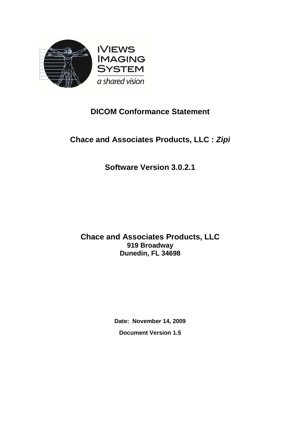

# **DICOM Conformance Statement**

# **Chace and Associates Products, LLC : Zipi**

**Software Version 3.0.2.1** 

# **Chace and Associates Products, LLC 919 Broadway Dunedin, FL 34698**

**Date: November 14, 2009 Document Version 1.5**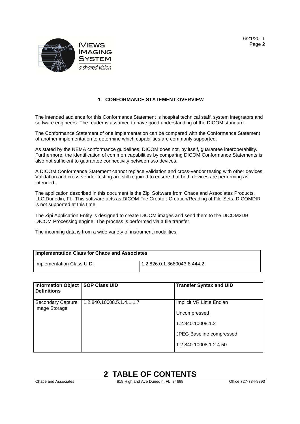

# **1 CONFORMANCE STATEMENT OVERVIEW**

The intended audience for this Conformance Statement is hospital technical staff, system integrators and software engineers. The reader is assumed to have good understanding of the DICOM standard.

The Conformance Statement of one implementation can be compared with the Conformance Statement of another implementation to determine which capabilities are commonly supported.

As stated by the NEMA conformance guidelines, DICOM does not, by itself, guarantee interoperability. Furthermore, the identification of common capabilities by comparing DICOM Conformance Statements is also not sufficient to guarantee connectivity between two devices.

A DICOM Conformance Statement cannot replace validation and cross-vendor testing with other devices. Validation and cross-vendor testing are still required to ensure that both devices are performing as intended.

The application described in this document is the Zipi Software from Chace and Associates Products, LLC Dunedin, FL. This software acts as DICOM File Creator; Creation/Reading of File-Sets. DICOMDIR is not supported at this time.

The Zipi Application Entity is designed to create DICOM images and send them to the DICOM2DB DICOM Processing engine. The process is performed via a file transfer.

The incoming data is from a wide variety of instrument modalities.

| Implementation Class for Chace and Associates |                             |  |
|-----------------------------------------------|-----------------------------|--|
| Implementation Class UID:                     | 1.2.826.0.1.3680043.8.444.2 |  |

| Information Object   SOP Class UID<br><b>Definitions</b> |                           | <b>Transfer Syntax and UID</b>            |
|----------------------------------------------------------|---------------------------|-------------------------------------------|
| Secondary Capture<br>Image Storage                       | 1.2.840.10008.5.1.4.1.1.7 | Implicit VR Little Endian<br>Uncompressed |
|                                                          |                           | 1.2.840.10008.1.2                         |
|                                                          |                           | JPEG Baseline compressed                  |
|                                                          |                           | 1.2.840.10008.1.2.4.50                    |

# **2 TABLE OF CONTENTS**

Chace and Associates 818 Highland Ave Dunedin, FL 34698 Office 727-734-8393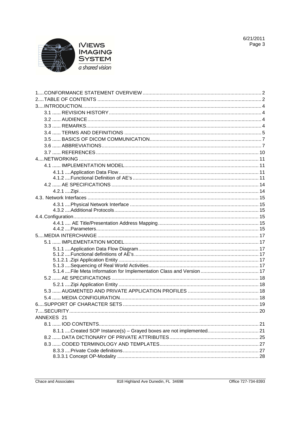

| 5.1 …… IMPLEMENTATION MODEL………………………………………………………………………………………… 17    |  |
|---------------------------------------------------------------------|--|
|                                                                     |  |
|                                                                     |  |
|                                                                     |  |
|                                                                     |  |
|                                                                     |  |
|                                                                     |  |
|                                                                     |  |
|                                                                     |  |
|                                                                     |  |
|                                                                     |  |
|                                                                     |  |
| ANNEXES 21                                                          |  |
| 8.1.1 Created SOP Instance(s) - Grayed boxes are not implemented 21 |  |
|                                                                     |  |
|                                                                     |  |
|                                                                     |  |
|                                                                     |  |
|                                                                     |  |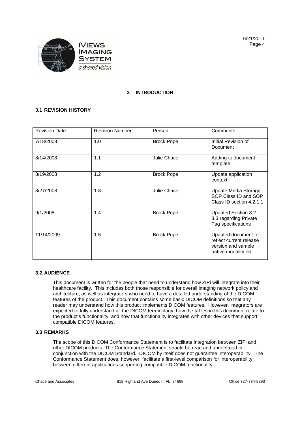

# **3 INTRODUCTION**

#### **3.1 REVISION HISTORY**

| <b>Revision Date</b> | <b>Revision Number</b> | Person            | Comments                                                                                      |
|----------------------|------------------------|-------------------|-----------------------------------------------------------------------------------------------|
| 7/18/2008            | 1.0                    | <b>Brock Pope</b> | Initial Revision of<br>Document                                                               |
| 8/14/2008            | 1.1                    | Julie Chace       | Adding to document<br>template                                                                |
| 8/19/2008            | 1.2                    | <b>Brock Pope</b> | Update application<br>context                                                                 |
| 8/27/2008            | 1.3                    | Julie Chace       | Update Media Storage<br>SOP Class ID and SOP<br>Class ID section 4.2.1.1                      |
| 9/1/2008             | 1.4                    | <b>Brock Pope</b> | Updated Section 8.2 -<br>8.3 regarding Private<br>Tag specifications                          |
| 11/14/2009           | 1.5                    | <b>Brock Pope</b> | Updated document to<br>reflect current release<br>version and sample<br>native modality list. |

#### **3.2 AUDIENCE**

This document is written for the people that need to understand how ZIPi will integrate into their healthcare facility. This includes both those responsible for overall imaging network policy and architecture, as well as integrators who need to have a detailed understanding of the DICOM features of the product. This document contains some basic DICOM definitions so that any reader may understand how this product implements DICOM features. However, integrators are expected to fully understand all the DICOM terminology, how the tables in this document relate to the product's functionality, and how that functionality integrates with other devices that support compatible DICOM features.

#### **3.3 REMARKS**

The scope of this DICOM Conformance Statement is to facilitate integration between ZIPi and other DICOM products. The Conformance Statement should be read and understood in conjunction with the DICOM Standard. DICOM by itself does not guarantee interoperability. The Conformance Statement does, however, facilitate a first-level comparison for interoperability between different applications supporting compatible DICOM functionality.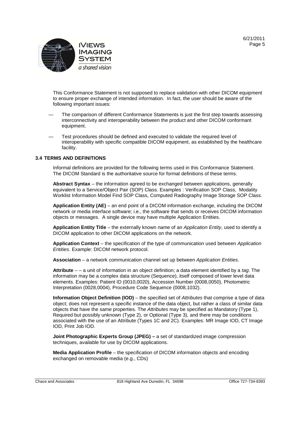

This Conformance Statement is not supposed to replace validation with other DICOM equipment to ensure proper exchange of intended information. In fact, the user should be aware of the following important issues:

- The comparison of different Conformance Statements is just the first step towards assessing interconnectivity and interoperability between the product and other DICOM conformant equipment.
- Test procedures should be defined and executed to validate the required level of interoperability with specific compatible DICOM equipment, as established by the healthcare facility.

#### **3.4 TERMS AND DEFINITIONS**

Informal definitions are provided for the following terms used in this Conformance Statement. The DICOM Standard is the authoritative source for formal definitions of these terms.

**Abstract Syntax** – the information agreed to be exchanged between applications, generally equivalent to a Service/Object Pair (SOP) Class. Examples : Verification SOP Class, Modality Worklist Information Model Find SOP Class, Computed Radiography Image Storage SOP Class.

**Application Entity (AE)** – an end point of a DICOM information exchange, including the DICOM network or media interface software; i.e., the software that sends or receives DICOM information objects or messages. A single device may have multiple Application Entities.

**Application Entity Title** – the externally known name of an Application Entity, used to identify a DICOM application to other DICOM applications on the network.

**Application Context** – the specification of the type of communication used between Application Entities. Example: DICOM network protocol.

**Association** – a network communication channel set up between Application Entities.

**Attribute** – – a unit of information in an object definition; a data element identified by a tag. The information may be a complex data structure (Sequence), itself composed of lower level data elements. Examples: Patient ID (0010,0020), Accession Number (0008,0050), Photometric Interpretation (0028,0004), Procedure Code Sequence (0008,1032).

**Information Object Definition (IOD)** – the specified set of Attributes that comprise a type of data object; does not represent a specific instance of the data object, but rather a class of similar data objects that have the same properties. The Attributes may be specified as Mandatory (Type 1), Required but possibly unknown (Type 2), or Optional (Type 3), and there may be conditions associated with the use of an Attribute (Types 1C and 2C). Examples: MR Image IOD, CT Image IOD, Print Job IOD.

**Joint Photographic Experts Group (JPEG) –** a set of standardized image compression techniques, available for use by DICOM applications.

**Media Application Profile** – the specification of DICOM information objects and encoding exchanged on removable media (e.g., CDs)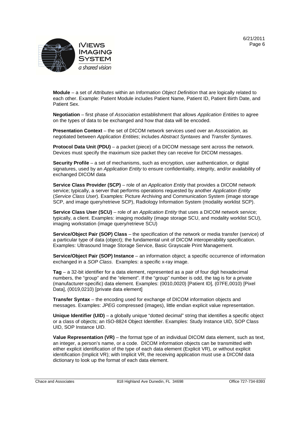

**Module** – a set of Attributes within an Information Object Definition that are logically related to each other. Example: Patient Module includes Patient Name, Patient ID, Patient Birth Date, and Patient Sex.

**Negotiation** – first phase of Association establishment that allows Application Entities to agree on the types of data to be exchanged and how that data will be encoded.

**Presentation Context** – the set of DICOM network services used over an Association, as negotiated between Application Entities; includes Abstract Syntaxes and Transfer Syntaxes.

**Protocol Data Unit (PDU)** – a packet (piece) of a DICOM message sent across the network. Devices must specify the maximum size packet they can receive for DICOM messages.

**Security Profile** – a set of mechanisms, such as encryption, user authentication, or digital signatures, used by an Application Entity to ensure confidentiality, integrity, and/or availability of exchanged DICOM data

**Service Class Provider (SCP)** – role of an Application Entity that provides a DICOM network service; typically, a server that performs operations requested by another Application Entity (Service Class User). Examples: Picture Archiving and Communication System (image storage SCP, and image query/retrieve SCP), Radiology Information System (modality worklist SCP).

**Service Class User (SCU)** – role of an *Application Entity* that uses a DICOM network service; typically, a client. Examples: imaging modality (image storage SCU, and modality worklist SCU), imaging workstation (image query/retrieve SCU)

**Service/Object Pair (SOP) Class** – the specification of the network or media transfer (service) of a particular type of data (object); the fundamental unit of DICOM interoperability specification. Examples: Ultrasound Image Storage Service, Basic Grayscale Print Management.

**Service/Object Pair (SOP) Instance** – an information object; a specific occurrence of information exchanged in a SOP Class. Examples: a specific x-ray image.

**Tag** – a 32-bit identifier for a data element, represented as a pair of four digit hexadecimal numbers, the "group" and the "element". If the "group" number is odd, the tag is for a private (manufacturer-specific) data element. Examples: (0010,0020) [Patient ID], (07FE,0010) [Pixel Data], (0019,0210) [private data element]

**Transfer Syntax** – the encoding used for exchange of DICOM information objects and messages. Examples: JPEG compressed (images), little endian explicit value representation.

**Unique Identifier (UID)** – a globally unique "dotted decimal" string that identifies a specific object or a class of objects; an ISO-8824 Object Identifier. Examples: Study Instance UID, SOP Class UID, SOP Instance UID.

**Value Representation (VR)** – the format type of an individual DICOM data element, such as text, an integer, a person's name, or a code. DICOM information objects can be transmitted with either explicit identification of the type of each data element (Explicit VR), or without explicit identification (Implicit VR); with Implicit VR, the receiving application must use a DICOM data dictionary to look up the format of each data element.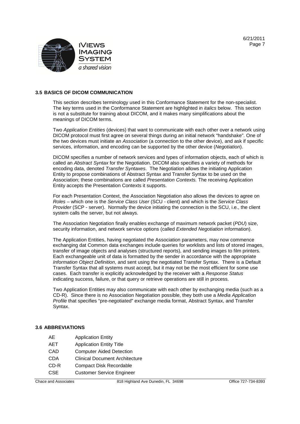

#### **3.5 BASICS OF DICOM COMMUNICATION**

This section describes terminology used in this Conformance Statement for the non-specialist. The key terms used in the Conformance Statement are highlighted in *italics* below. This section is not a substitute for training about DICOM, and it makes many simplifications about the meanings of DICOM terms.

Two Application Entities (devices) that want to communicate with each other over a network using DICOM protocol must first agree on several things during an initial network "handshake". One of the two devices must initiate an Association (a connection to the other device), and ask if specific services, information, and encoding can be supported by the other device (Negotiation).

DICOM specifies a number of network services and types of information objects, each of which is called an Abstract Syntax for the Negotiation. DICOM also specifies a variety of methods for encoding data, denoted Transfer Syntaxes. The Negotiation allows the initiating Application Entity to propose combinations of Abstract Syntax and Transfer Syntax to be used on the Association; these combinations are called Presentation Contexts. The receiving Application Entity accepts the Presentation Contexts it supports.

For each Presentation Context, the Association Negotiation also allows the devices to agree on Roles – which one is the Service Class User (SCU - client) and which is the Service Class Provider (SCP - server). Normally the device initiating the connection is the SCU, i.e., the client system calls the server, but not always.

The Association Negotiation finally enables exchange of maximum network packet (PDU) size, security information, and network service options (called *Extended Negotiation* information).

The Application Entities, having negotiated the Association parameters, may now commence exchanging dat Common data exchanges include queries for worklists and lists of stored images, transfer of image objects and analyses (structured reports), and sending images to film printers. Each exchangeable unit of data is formatted by the sender in accordance with the appropriate Information Object Definition, and sent using the negotiated Transfer Syntax. There is a Default Transfer Syntax that all systems must accept, but it may not be the most efficient for some use cases. Each transfer is explicitly acknowledged by the receiver with a Response Status indicating success, failure, or that query or retrieve operations are still in process.

Two Application Entities may also communicate with each other by exchanging media (such as a CD-R). Since there is no Association Negotiation possible, they both use a Media Application Profile that specifies "pre-negotiated" exchange media format, Abstract Syntax, and Transfer Syntax.

#### **3.6 ABBREVIATIONS**

- AE Application Entity
- AET Application Entity Title
- CAD Computer Aided Detection
- CDA Clinical Document Architecture
- CD-R Compact Disk Recordable
- CSE Customer Service Engineer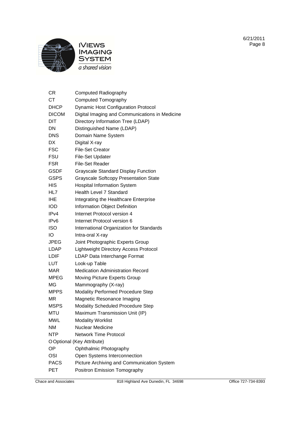



| СR                | Computed Radiography                           |
|-------------------|------------------------------------------------|
| СT                | <b>Computed Tomography</b>                     |
| <b>DHCP</b>       | <b>Dynamic Host Configuration Protocol</b>     |
| <b>DICOM</b>      | Digital Imaging and Communications in Medicine |
| DIT               | Directory Information Tree (LDAP)              |
| DN                | Distinguished Name (LDAP)                      |
| <b>DNS</b>        | Domain Name System                             |
| DX                | Digital X-ray                                  |
| FSC               | <b>File-Set Creator</b>                        |
| FSU               | <b>File-Set Updater</b>                        |
| FSR               | File-Set Reader                                |
| GSDF              | <b>Grayscale Standard Display Function</b>     |
| GSPS              | <b>Grayscale Softcopy Presentation State</b>   |
| НIS               | <b>Hospital Information System</b>             |
| HL7               | Health Level 7 Standard                        |
| <b>IHE</b>        | Integrating the Healthcare Enterprise          |
| <b>IOD</b>        | Information Object Definition                  |
| IP <sub>V</sub> 4 | Internet Protocol version 4                    |
| IPv6              | Internet Protocol version 6                    |
| <b>ISO</b>        | International Organization for Standards       |
| IO                | Intra-oral X-ray                               |
| JPEG              | Joint Photographic Experts Group               |
| LDAP              | <b>Lightweight Directory Access Protocol</b>   |
| LDIF              | LDAP Data Interchange Format                   |
| LUT               | Look-up Table                                  |
| MAR               | Medication Administration Record               |
| <b>MPEG</b>       | Moving Picture Experts Group                   |
| ΜG                | Mammography (X-ray)                            |
| <b>MPPS</b>       | <b>Modality Performed Procedure Step</b>       |
| ΜR                | Magnetic Resonance Imaging                     |
| MSPS              | Modality Scheduled Procedure Step              |
| MTU               | Maximum Transmission Unit (IP)                 |
| <b>MWL</b>        | <b>Modality Worklist</b>                       |
| <b>NM</b>         | <b>Nuclear Medicine</b>                        |
| NTP               | Network Time Protocol                          |
|                   | O Optional (Key Attribute)                     |
| OP                | Ophthalmic Photography                         |
| OSI               | Open Systems Interconnection                   |
| <b>PACS</b>       | Picture Archiving and Communication System     |
| <b>PET</b>        | Positron Emission Tomography                   |
|                   |                                                |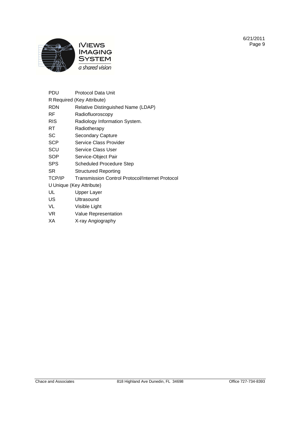

- PDU Protocol Data Unit
- R Required (Key Attribute)
- RDN Relative Distinguished Name (LDAP)
- RF Radiofluoroscopy
- RIS Radiology Information System.
- RT Radiotherapy
- SC Secondary Capture
- SCP Service Class Provider
- SCU Service Class User
- SOP Service-Object Pair
- SPS Scheduled Procedure Step
- SR Structured Reporting
- TCP/IP Transmission Control Protocol/Internet Protocol

U Unique (Key Attribute)

- UL Upper Layer
- US Ultrasound
- VL Visible Light
- VR Value Representation
- XA X-ray Angiography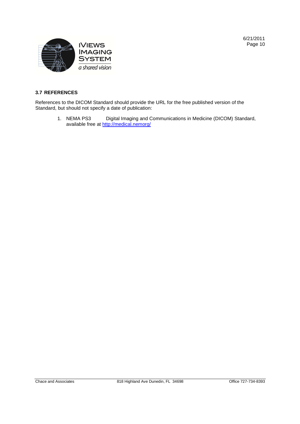

### **3.7 REFERENCES**

References to the DICOM Standard should provide the URL for the free published version of the Standard, but should not specify a date of publication:

> 1. NEMA PS3 Digital Imaging and Communications in Medicine (DICOM) Standard, available free at http://medical.nemorg/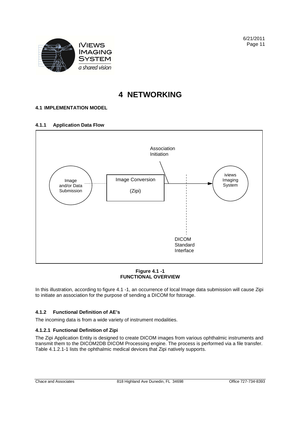

# **4 NETWORKING**

#### **4.1 IMPLEMENTATION MODEL**

#### **4.1.1 Application Data Flow**



#### **Figure 4.1 -1 FUNCTIONAL OVERVIEW**

In this illustration, according to figure 4.1 -1, an occurrence of local Image data submission will cause Zipi to initiate an association for the purpose of sending a DICOM for fstorage.

#### **4.1.2 Functional Definition of AE's**

The incoming data is from a wide variety of instrument modalities.

#### **4.1.2.1 Functional Definition of Zipi**

The Zipi Application Entity is designed to create DICOM images from various ophthalmic instruments and transmit them to the DICOM2DB DICOM Processing engine. The process is performed via a file transfer. Table 4.1.2.1-1 lists the ophthalmic medical devices that Zipi natively supports.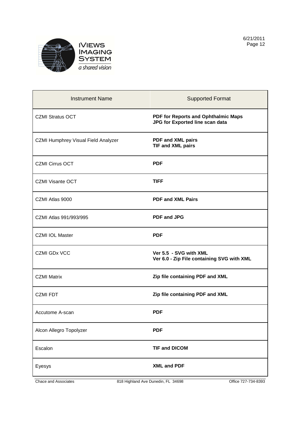

| <b>Instrument Name</b>              | <b>Supported Format</b>                                                |
|-------------------------------------|------------------------------------------------------------------------|
| <b>CZMI Stratus OCT</b>             | PDF for Reports and Ophthalmic Maps<br>JPG for Exported line scan data |
| CZMI Humphrey Visual Field Analyzer | <b>PDF and XML pairs</b><br><b>TIF and XML pairs</b>                   |
| <b>CZMI Cirrus OCT</b>              | <b>PDF</b>                                                             |
| <b>CZMI Visante OCT</b>             | <b>TIFF</b>                                                            |
| CZMI Atlas 9000                     | <b>PDF and XML Pairs</b>                                               |
| CZMI Atlas 991/993/995              | <b>PDF and JPG</b>                                                     |
| <b>CZMI IOL Master</b>              | <b>PDF</b>                                                             |
| <b>CZMI GDx VCC</b>                 | Ver 5.5 - SVG with XML<br>Ver 6.0 - Zip File containing SVG with XML   |
| <b>CZMI Matrix</b>                  | Zip file containing PDF and XML                                        |
| <b>CZMI FDT</b>                     | Zip file containing PDF and XML                                        |
| Accutome A-scan                     | <b>PDF</b>                                                             |
| Alcon Allegro Topolyzer             | <b>PDF</b>                                                             |
| Escalon                             | <b>TIF and DICOM</b>                                                   |
| Eyesys                              | <b>XML and PDF</b>                                                     |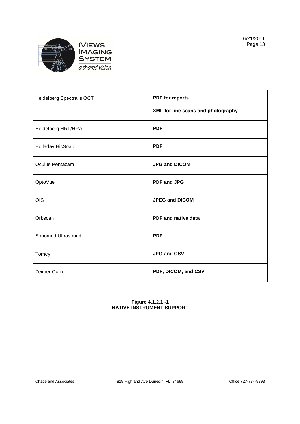

| Heidelberg Spectralis OCT | PDF for reports                    |
|---------------------------|------------------------------------|
|                           | XML for line scans and photography |
| Heidelberg HRT/HRA        | <b>PDF</b>                         |
| Holladay HicSoap          | <b>PDF</b>                         |
| Oculus Pentacam           | <b>JPG and DICOM</b>               |
| OptoVue                   | <b>PDF and JPG</b>                 |
| <b>OIS</b>                | <b>JPEG and DICOM</b>              |
| Orbscan                   | PDF and native data                |
| Sonomod Ultrasound        | <b>PDF</b>                         |
| Tomey                     | <b>JPG and CSV</b>                 |
| Zeimer Galilei            | PDF, DICOM, and CSV                |

**Figure 4.1.2.1 -1 NATIVE INSTRUMENT SUPPORT**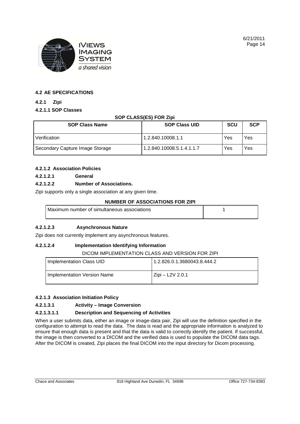

### **4.2 AE SPECIFICATIONS**

# **4.2.1 Zipi**

# **4.2.1.1 SOP Classes**

#### **SOP CLASS(ES) FOR Zipi**

| <b>SOP Class Name</b>           | <b>SOP Class UID</b>      | <b>SCU</b> | <b>SCP</b> |
|---------------------------------|---------------------------|------------|------------|
| Verification                    | 1.2.840.10008.1.1         | Yes        | Yes        |
| Secondary Capture Image Storage | 1.2.840.10008.5.1.4.1.1.7 | Yes        | Yes        |

#### **4.2.1.2 Association Policies**

**4.2.1.2.1 General** 

# **4.2.1.2.2 Number of Associations.**

Zipi supports only a single association at any given time.

#### **NUMBER OF ASSOCIATIONS FOR ZIPI**

| l Maximum number of simultaneous associations |  |
|-----------------------------------------------|--|
|                                               |  |

#### **4.2.1.2.3 Asynchronous Nature**

Zipi does not currently implement any asynchronous features.

#### **4.2.1.2.4 Implementation Identifying Information**

#### DICOM IMPLEMENTATION CLASS AND VERSION FOR ZIPI

| Implementation Class UID    | 1.2.826.0.1.3680043.8.444.2 |
|-----------------------------|-----------------------------|
| Implementation Version Name | Zipi – L2V 2.0.1            |

#### **4.2.1.3 Association Initiation Policy**

#### **4.2.1.3.1 Activity – Image Conversion**

#### **4.2.1.3.1.1 Description and Sequencing of Activities**

When a user submits data, either an image or image-data pair, Zipi will use the definition specified in the configuration to attempt to read the data. The data is read and the appropriate information is analyzed to ensure that enough data is present and that the data is valid to correctly identify the patient. If successful, the image is then converted to a DICOM and the verified data is used to populate the DICOM data tags. After the DICOM is created, Zipi places the final DICOM into the input directory for Dicom processing.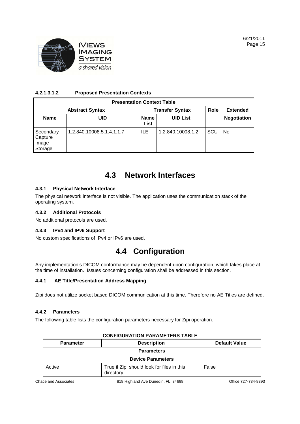

#### **4.2.1.3.1.2 Proposed Presentation Contexts**

| <b>Presentation Context Table</b>        |                           |                        |                   |      |                    |
|------------------------------------------|---------------------------|------------------------|-------------------|------|--------------------|
|                                          | <b>Abstract Syntax</b>    | <b>Transfer Syntax</b> |                   | Role | <b>Extended</b>    |
| <b>Name</b>                              | UID                       | <b>Name</b><br>List    | <b>UID List</b>   |      | <b>Negotiation</b> |
| Secondary<br>Capture<br>Image<br>Storage | 1.2.840.10008.5.1.4.1.1.7 | ILE.                   | 1.2.840.10008.1.2 | SCL  | <b>No</b>          |

# **4.3 Network Interfaces**

#### **4.3.1 Physical Network Interface**

The physical network interface is not visible. The application uses the communication stack of the operating system.

#### **4.3.2 Additional Protocols**

No additional protocols are used.

#### **4.3.3 IPv4 and IPv6 Support**

No custom specifications of IPv4 or IPv6 are used.

# **4.4 Configuration**

Any implementation's DICOM conformance may be dependent upon configuration, which takes place at the time of installation. Issues concerning configuration shall be addressed in this section.

# **4.4.1 AE Title/Presentation Address Mapping**

Zipi does not utilize socket based DICOM communication at this time. Therefore no AE Titles are defined.

#### **4.4.2 Parameters**

The following table lists the configuration parameters necessary for Zipi operation.

| <b>Parameter</b>                                                           | <b>Description</b> | <b>Default Value</b> |  |
|----------------------------------------------------------------------------|--------------------|----------------------|--|
| <b>Parameters</b>                                                          |                    |                      |  |
| <b>Device Parameters</b>                                                   |                    |                      |  |
| True if Zipi should look for files in this<br>Active<br>False<br>directory |                    |                      |  |

# **CONFIGURATION PARAMETERS TABLE**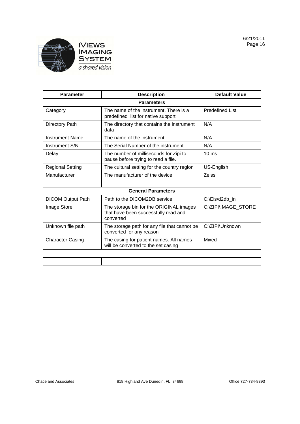

| <b>Parameter</b>         | <b>Description</b>                                                                           | <b>Default Value</b>   |
|--------------------------|----------------------------------------------------------------------------------------------|------------------------|
|                          | <b>Parameters</b>                                                                            |                        |
| Category                 | The name of the instrument. There is a<br>predefined list for native support                 | <b>Predefined List</b> |
| <b>Directory Path</b>    | The directory that contains the instrument<br>data                                           | N/A                    |
| <b>Instrument Name</b>   | The name of the instrument                                                                   | N/A                    |
| Instrument S/N           | The Serial Number of the instrument                                                          | N/A                    |
| Delay                    | The number of milliseconds for Zipi to<br>pause before trying to read a file.                | 10 <sub>ms</sub>       |
| <b>Regional Setting</b>  | The cultural setting for the country region                                                  | US-English             |
| Manufacturer             | The manufacturer of the device                                                               | Zeiss                  |
|                          |                                                                                              |                        |
|                          | <b>General Parameters</b>                                                                    |                        |
| <b>DICOM Output Path</b> | Path to the DICOM2DB service                                                                 | C:\Eis\d2db in         |
| Image Store              | The storage bin for the ORIGINAL images<br>that have been successfully read and<br>converted | C:\ZIPI\IMAGE_STORE    |
| Unknown file path        | The storage path for any file that cannot be<br>converted for any reason                     | C:\ZIPI\Unknown        |
| <b>Character Casing</b>  | The casing for patient names. All names<br>will be converted to the set casing               | Mixed                  |
|                          |                                                                                              |                        |
|                          |                                                                                              |                        |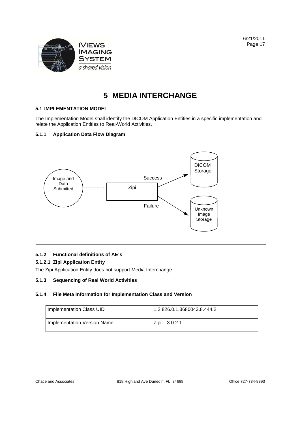

# **5 MEDIA INTERCHANGE**

# **5.1 IMPLEMENTATION MODEL**

The Implementation Model shall identify the DICOM Application Entities in a specific implementation and relate the Application Entities to Real-World Activities.

#### **5.1.1 Application Data Flow Diagram**



# **5.1.2 Functional definitions of AE's**

# **5.1.2.1 Zipi Application Entity**

The Zipi Application Entity does not support Media Interchange

#### **5.1.3 Sequencing of Real World Activities**

### **5.1.4 File Meta Information for Implementation Class and Version**

| I Implementation Class UID    | 1.2.826.0.1.3680043.8.444.2 |
|-------------------------------|-----------------------------|
| I Implementation Version Name | Zipi – 3.0.2.1              |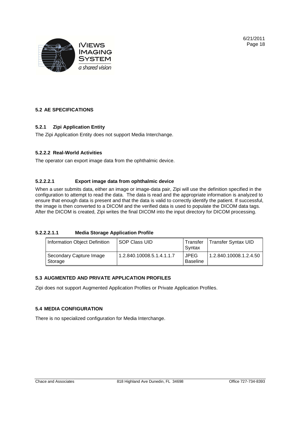

# **5.2 AE SPECIFICATIONS**

# **5.2.1 Zipi Application Entity**

The Zipi Application Entity does not support Media Interchange.

#### **5.2.2.2 Real-World Activities**

The operator can export image data from the ophthalmic device.

#### **5.2.2.2.1 Export image data from ophthalmic device**

When a user submits data, either an image or image-data pair, Zipi will use the definition specified in the configuration to attempt to read the data. The data is read and the appropriate information is analyzed to ensure that enough data is present and that the data is valid to correctly identify the patient. If successful, the image is then converted to a DICOM and the verified data is used to populate the DICOM data tags. After the DICOM is created, Zipi writes the final DICOM into the input directory for DICOM processing.

#### **5.2.2.2.1.1 Media Storage Application Profile**

| Information Object Definition      | SOP Class UID             | l Transfer<br>Svntax | Transfer Syntax UID    |
|------------------------------------|---------------------------|----------------------|------------------------|
| Secondary Capture Image<br>Storage | 1.2.840.10008.5.1.4.1.1.7 | JPEG<br>Baseline     | 1.2.840.10008.1.2.4.50 |

#### **5.3 AUGMENTED AND PRIVATE APPLICATION PROFILES**

Zipi does not support Augmented Application Profiles or Private Application Profiles.

### **5.4 MEDIA CONFIGURATION**

There is no specialized configuration for Media Interchange.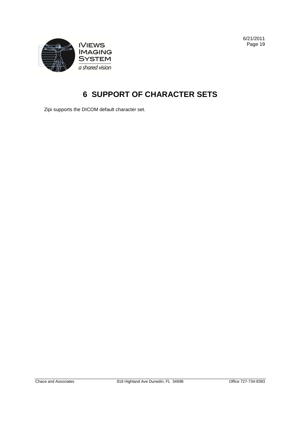

# **6 SUPPORT OF CHARACTER SETS**

Zipi supports the DICOM default character set.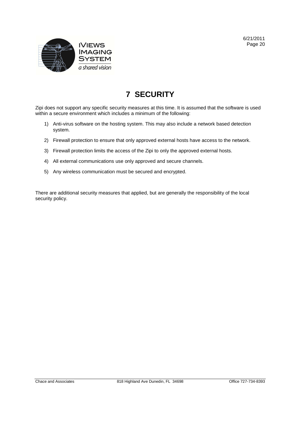

# **7 SECURITY**

Zipi does not support any specific security measures at this time. It is assumed that the software is used within a secure environment which includes a minimum of the following:

- 1) Anti-virus software on the hosting system. This may also include a network based detection system.
- 2) Firewall protection to ensure that only approved external hosts have access to the network.
- 3) Firewall protection limits the access of the Zipi to only the approved external hosts.
- 4) All external communications use only approved and secure channels.
- 5) Any wireless communication must be secured and encrypted.

There are additional security measures that applied, but are generally the responsibility of the local security policy.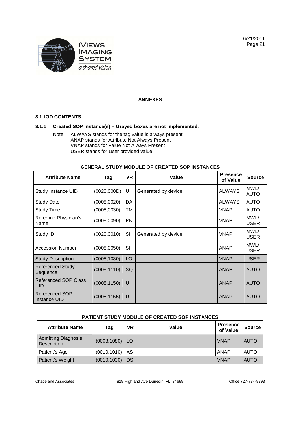

# **ANNEXES**

# **8.1 IOD CONTENTS**

#### **8.1.1 Created SOP Instance(s) – Grayed boxes are not implemented.**

 Note: ALWAYS stands for the tag value is always present ANAP stands for Attribute Not Always Present VNAP stands for Value Not Always Present USER stands for User provided value

| <b>Attribute Name</b>                 | Tag          | <b>VR</b> | Value               | <b>Presence</b><br>of Value | <b>Source</b>       |
|---------------------------------------|--------------|-----------|---------------------|-----------------------------|---------------------|
| Study Instance UID                    | (0020, 000D) | UI        | Generated by device | <b>ALWAYS</b>               | MWL/<br><b>AUTO</b> |
| <b>Study Date</b>                     | (0008,0020)  | DA        |                     | <b>ALWAYS</b>               | <b>AUTO</b>         |
| <b>Study Time</b>                     | (0008, 0030) | TM        |                     | <b>VNAP</b>                 | <b>AUTO</b>         |
| Referring Physician's<br>Name         | (0008, 0090) | <b>PN</b> |                     | <b>VNAP</b>                 | MWL/<br><b>USER</b> |
| Study ID                              | (0020, 0010) | <b>SH</b> | Generated by device | <b>VNAP</b>                 | MWL/<br><b>USER</b> |
| <b>Accession Number</b>               | (0008, 0050) | <b>SH</b> |                     | ANAP                        | MWL/<br><b>USER</b> |
| <b>Study Description</b>              | (0008, 1030) | LO        |                     | <b>VNAP</b>                 | <b>USER</b>         |
| <b>Referenced Study</b><br>Sequence   | (0008, 1110) | SQ        |                     | <b>ANAP</b>                 | <b>AUTO</b>         |
| Referenced SOP Class<br><b>UID</b>    | (0008, 1150) | UI        |                     | <b>ANAP</b>                 | <b>AUTO</b>         |
| <b>Referenced SOP</b><br>Instance UID | (0008, 1155) | UI        |                     | <b>ANAP</b>                 | <b>AUTO</b>         |

#### **GENERAL STUDY MODULE OF CREATED SOP INSTANCES**

### **PATIENT STUDY MODULE OF CREATED SOP INSTANCES**

| <b>Attribute Name</b>                     | Tag               | <b>VR</b> | Value | <b>Presence</b><br>of Value | <b>Source</b> |
|-------------------------------------------|-------------------|-----------|-------|-----------------------------|---------------|
| <b>Admitting Diagnosis</b><br>Description | (0008, 1080)      | LO        |       | <b>VNAP</b>                 | <b>AUTO</b>   |
| Patient's Age                             | $(0010, 1010)$ AS |           |       | ANAP                        | <b>AUTO</b>   |
| Patient's Weight                          | (0010, 1030)      | ⊟DS       |       | <b>VNAP</b>                 | <b>AUTO</b>   |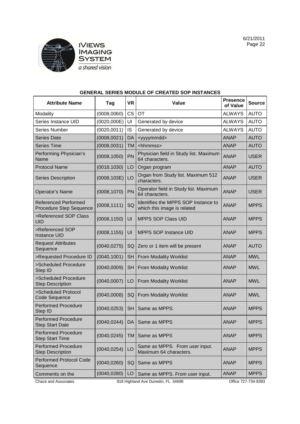

# **GENERAL SERIES MODULE OF CREATED SOP INSTANCES**

| <b>Attribute Name</b>                                  | Tag          | <b>VR</b> | Value                                                              | <b>Presence</b><br>of Value | <b>Source</b> |
|--------------------------------------------------------|--------------|-----------|--------------------------------------------------------------------|-----------------------------|---------------|
| Modality                                               | (0008, 0060) | <b>CS</b> | OT                                                                 | <b>ALWAYS</b>               | <b>AUTO</b>   |
| Series Instance UID                                    | (0020, 000E) | UI        | Generated by device                                                | <b>ALWAYS</b>               | <b>AUTO</b>   |
| <b>Series Number</b>                                   | (0020, 0011) | IS        | Generated by device                                                | <b>ALWAYS</b>               | <b>AUTO</b>   |
| <b>Series Date</b>                                     | (0008, 0021) | DA        | <yyyymmdd></yyyymmdd>                                              | <b>ANAP</b>                 | <b>AUTO</b>   |
| <b>Series Time</b>                                     | (0008, 0031) | <b>TM</b> | <hhmmss></hhmmss>                                                  | <b>ANAP</b>                 | <b>AUTO</b>   |
| Performing Physician's<br>Name                         | (0008, 1050) | PN        | Physician field in Study list. Maximum<br>64 characters.           | <b>ANAP</b>                 | <b>USER</b>   |
| <b>Protocol Name</b>                                   | (0018, 1030) | LO        | Organ program                                                      | <b>ANAP</b>                 | <b>AUTO</b>   |
| <b>Series Description</b>                              | (0008, 103E) | LO        | Organ from Study list. Maximum 512<br>characters.                  | <b>ANAP</b>                 | <b>USER</b>   |
| Operator's Name                                        | (0008, 1070) | <b>PN</b> | Operator field in Study list. Maximum<br>64 characters.            | <b>ANAP</b>                 | <b>USER</b>   |
| <b>Referenced Performed</b><br>Procedure Step Sequence | (0008, 1111) | SQ        | Identifies the MPPS SOP Instance to<br>which this image is related | <b>ANAP</b>                 | <b>MPPS</b>   |
| >Referenced SOP Class<br><b>UID</b>                    | (0008, 1150) | UI        | <b>MPPS SOP Class UID</b>                                          | <b>ANAP</b>                 | <b>MPPS</b>   |
| >Referenced SOP<br><b>Instance UID</b>                 | (0008, 1155) | UI        | MPPS SOP Instance UID                                              | <b>ANAP</b>                 | <b>MPPS</b>   |
| <b>Request Attributes</b><br>Sequence                  | (0040, 0275) | SQ        | Zero or 1 item will be present                                     | <b>ANAP</b>                 | <b>AUTO</b>   |
| >Requested Procedure ID                                | (0040, 1001) | <b>SH</b> | From Modality Worklist                                             | <b>ANAP</b>                 | <b>MWL</b>    |
| >Scheduled Procedure<br>Step ID                        | (0040, 0009) | <b>SH</b> | From Modality Worklist                                             | <b>ANAP</b>                 | <b>MWL</b>    |
| >Scheduled Procedure<br><b>Step Description</b>        | (0040, 0007) | LO        | From Modality Worklist                                             | <b>ANAP</b>                 | <b>MWL</b>    |
| >Scheduled Protocol<br>Code Sequence                   | (0040, 0008) | SQ        | From Modality Worklist                                             | <b>ANAP</b>                 | <b>MWL</b>    |
| <b>Performed Procedure</b><br>Step ID                  | (0040, 0253) | <b>SH</b> | Same as MPPS.                                                      | <b>ANAP</b>                 | <b>MPPS</b>   |
| <b>Performed Procedure</b><br><b>Step Start Date</b>   |              |           | (0040,0244)   DA   Same as MPPS                                    | <b>ANAP</b>                 | <b>MPPS</b>   |
| <b>Performed Procedure</b><br><b>Step Start Time</b>   | (0040, 0245) | TM        | Same as MPPS                                                       | <b>ANAP</b>                 | <b>MPPS</b>   |
| <b>Performed Procedure</b><br><b>Step Description</b>  | (0040, 0254) | LO        | Same as MPPS. From user input.<br>Maximum 64 characters.           | <b>ANAP</b>                 | <b>MPPS</b>   |
| <b>Performed Protocol Code</b><br>Sequence             | (0040, 0260) | SQ        | Same as MPPS                                                       | <b>ANAP</b>                 | <b>MPPS</b>   |
| Comments on the                                        | (0040, 0280) | LO        | Same as MPPS. From user input.                                     | <b>ANAP</b>                 | <b>MPPS</b>   |

Chace and Associates 818 Highland Ave Dunedin, FL 34698 Office 727-734-8393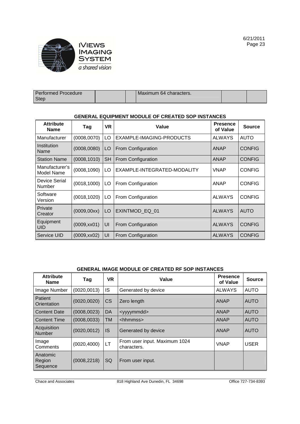

| <b>Performed Procedure</b> | Maximum 64 characters. |  |
|----------------------------|------------------------|--|
| Step                       |                        |  |

| <b>Attribute</b><br><b>Name</b> | Tag          | <b>VR</b> | Value                       | <b>Presence</b><br>of Value | <b>Source</b> |
|---------------------------------|--------------|-----------|-----------------------------|-----------------------------|---------------|
| Manufacturer                    | (0008, 0070) | LO        | EXAMPLE-IMAGING-PRODUCTS    | <b>ALWAYS</b>               | <b>AUTO</b>   |
| Institution<br>Name             | (0008, 0080) | LO        | From Configuration          | <b>ANAP</b>                 | <b>CONFIG</b> |
| <b>Station Name</b>             | (0008, 1010) | <b>SH</b> | From Configuration          | <b>ANAP</b>                 | <b>CONFIG</b> |
| Manufacturer's<br>Model Name    | (0008, 1090) | LO.       | EXAMPLE-INTEGRATED-MODALITY | <b>VNAP</b>                 | <b>CONFIG</b> |
| Device Serial<br>Number         | (0018, 1000) | LO.       | From Configuration          | <b>ANAP</b>                 | <b>CONFIG</b> |
| Software<br>Version             | (0018, 1020) | LO        | From Configuration          | <b>ALWAYS</b>               | <b>CONFIG</b> |
| Private<br>Creator              | (0009,00xx)  | LO        | EXINTMOD_EQ_01              | <b>ALWAYS</b>               | <b>AUTO</b>   |
| Equipment<br>UID                | (0009, xx01) | UI        | From Configuration          | <b>ALWAYS</b>               | <b>CONFIG</b> |
| Service UID                     | (0009, xx02) | UI        | From Configuration          | <b>ALWAYS</b>               | <b>CONFIG</b> |

# **GENERAL EQUIPMENT MODULE OF CREATED SOP INSTANCES**

# **GENERAL IMAGE MODULE OF CREATED RF SOP INSTANCES**

| <b>Attribute</b><br><b>Name</b> | Tag          | <b>VR</b> | Value                                        | <b>Presence</b><br>of Value | <b>Source</b> |
|---------------------------------|--------------|-----------|----------------------------------------------|-----------------------------|---------------|
| Image Number                    | (0020, 0013) | <b>IS</b> | Generated by device                          | <b>ALWAYS</b>               | <b>AUTO</b>   |
| Patient<br><b>Orientation</b>   | (0020, 0020) | <b>CS</b> | Zero length                                  | <b>ANAP</b>                 | <b>AUTO</b>   |
| Content Date                    | (0008, 0023) | <b>DA</b> | <yyyymmdd></yyyymmdd>                        | <b>ANAP</b>                 | <b>AUTO</b>   |
| Content Time                    | (0008, 0033) | <b>TM</b> | <hhmmss></hhmmss>                            | <b>ANAP</b>                 | <b>AUTO</b>   |
| Acquisition<br>Number           | (0020, 0012) | <b>IS</b> | Generated by device                          | <b>ANAP</b>                 | <b>AUTO</b>   |
| Image<br>Comments               | (0020, 4000) | <b>LT</b> | From user input. Maximum 1024<br>characters. | <b>VNAP</b>                 | <b>USER</b>   |
| Anatomic<br>Region<br>Sequence  | (0008, 2218) | SQ        | From user input.                             |                             |               |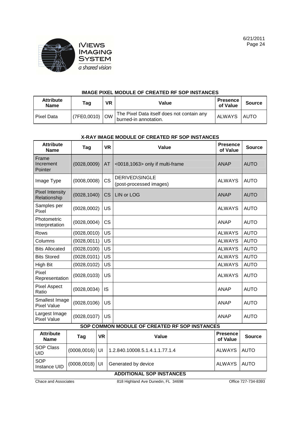

# **IMAGE PIXEL MODULE OF CREATED RF SOP INSTANCES**

| <b>Attribute</b><br><b>Name</b> | Tag         | VR        | Value                                                               | <b>Presence</b><br>of Value | <b>Source</b> |
|---------------------------------|-------------|-----------|---------------------------------------------------------------------|-----------------------------|---------------|
| Pixel Data                      | (7FE0,0010) | <b>OW</b> | The Pixel Data itself does not contain any<br>burned-in annotation. | <b>ALWAYS</b>               | AUTO          |

#### **X-RAY IMAGE MODULE OF CREATED RF SOP INSTANCES**

| <b>Attribute</b><br><b>Name</b>        | Tag          | <b>VR</b> | Value                                            | <b>Presence</b><br>of Value | <b>Source</b> |
|----------------------------------------|--------------|-----------|--------------------------------------------------|-----------------------------|---------------|
| Frame<br>Increment<br>Pointer          | (0028, 0009) | <b>AT</b> | <0018,1063> only if multi-frame                  | <b>ANAP</b>                 | <b>AUTO</b>   |
| Image Type                             | (0008,0008)  | CS        | <b>DERIVED\SINGLE</b><br>(post-processed images) | <b>ALWAYS</b>               | <b>AUTO</b>   |
| <b>Pixel Intensity</b><br>Relationship | (0028, 1040) | <b>CS</b> | LIN or LOG                                       | <b>ANAP</b>                 | <b>AUTO</b>   |
| Samples per<br>Pixel                   | (0028, 0002) | US        |                                                  | <b>ALWAYS</b>               | <b>AUTO</b>   |
| Photometric<br>Interpretation          | (0028,0004)  | CS        |                                                  | ANAP                        | <b>AUTO</b>   |
| Rows                                   | (0028, 0010) | <b>US</b> |                                                  | <b>ALWAYS</b>               | <b>AUTO</b>   |
| Columns                                | (0028, 0011) | US        |                                                  | <b>ALWAYS</b>               | <b>AUTO</b>   |
| <b>Bits Allocated</b>                  | (0028, 0100) | US        |                                                  | <b>ALWAYS</b>               | <b>AUTO</b>   |
| <b>Bits Stored</b>                     | (0028, 0101) | US        |                                                  | <b>ALWAYS</b>               | <b>AUTO</b>   |
| <b>High Bit</b>                        | (0028, 0102) | US        |                                                  | <b>ALWAYS</b>               | <b>AUTO</b>   |
| Pixel<br>Representation                | (0028, 0103) | <b>US</b> |                                                  | <b>ALWAYS</b>               | <b>AUTO</b>   |
| <b>Pixel Aspect</b><br>Ratio           | (0028, 0034) | IS        |                                                  | ANAP                        | <b>AUTO</b>   |
| Smallest Image<br><b>Pixel Value</b>   | (0028, 0106) | <b>US</b> |                                                  | <b>ANAP</b>                 | <b>AUTO</b>   |
| Largest Image<br><b>Pixel Value</b>    | (0028, 0107) | US        |                                                  | <b>ANAP</b>                 | <b>AUTO</b>   |

#### **SOP COMMON MODULE OF CREATED RF SOP INSTANCES**

| <b>Attribute</b><br><b>Name</b> | Tag              | VR | Value                          | Presence<br>of Value | <b>Source</b> |
|---------------------------------|------------------|----|--------------------------------|----------------------|---------------|
| l SOP Class<br>UID              | $(0008,0016)$ UI |    | 1.2.840.10008.5.1.4.1.1.77.1.4 | ALWAYS   AUTO        |               |
| <b>SOP</b><br>Instance UID      | $(0008,0018)$ UI |    | Generated by device            | ALWAYS   AUTO        |               |

# **ADDITIONAL SOP INSTANCES**

Chace and Associates 818 Highland Ave Dunedin, FL 34698 Office 727-734-8393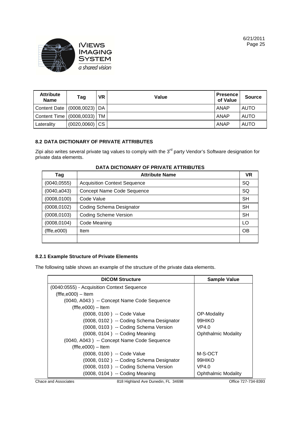

| <b>Attribute</b><br><b>Name</b> | Tag              | VR | Value | <b>Presence</b><br>of Value | <b>Source</b> |
|---------------------------------|------------------|----|-------|-----------------------------|---------------|
| Content Date   (0008,0023)   DA |                  |    |       | <b>ANAP</b>                 | <b>AUTO</b>   |
| Content Time (0008,0033)        |                  | TM |       | <b>ANAP</b>                 | <b>AUTO</b>   |
| Laterality                      | $(0020,0060)$ CS |    |       | ANAP                        | <b>AUTO</b>   |

# **8.2 DATA DICTIONARY OF PRIVATE ATTRIBUTES**

Zipi also writes several private tag values to comply with the 3<sup>rd</sup> party Vendor's Software designation for private data elements.

| Tag          | <b>Attribute Name</b>               | <b>VR</b> |
|--------------|-------------------------------------|-----------|
| (0040, 0555) | <b>Acquisition Context Sequence</b> | SQ        |
| (0040, a043) | Concept Name Code Sequence          | SQ        |
| (0008, 0100) | Code Value                          | <b>SH</b> |
| (0008, 0102) | Coding Schema Designator            | <b>SH</b> |
| (0008, 0103) | <b>Coding Scheme Version</b>        | <b>SH</b> |
| (0008, 0104) | Code Meaning                        | LO        |
| (fffe, e000) | Item                                | <b>OB</b> |
|              |                                     |           |

#### **DATA DICTIONARY OF PRIVATE ATTRIBUTES**

#### **8.2.1 Example Structure of Private Elements**

The following table shows an example of the structure of the private data elements.

| <b>DICOM Structure</b>                     | <b>Sample Value</b>        |
|--------------------------------------------|----------------------------|
| (0040:0555) - Acquisition Context Sequence |                            |
| $(fffe,e000) - Item$                       |                            |
| (0040, A043) -- Concept Name Code Sequence |                            |
| $(f\text{ffe}, e000) - \text{Item}$        |                            |
| (0008, 0100) -- Code Value                 | OP-Modality                |
| (0008, 0102) -- Coding Schema Designator   | 99HIKO                     |
| (0008, 0103) -- Coding Schema Version      | VP4.0                      |
| (0008, 0104) -- Coding Meaning             | <b>Ophthalmic Modality</b> |
| (0040, A043) -- Concept Name Code Sequence |                            |
| $(f\text{ffe}, e000) - \text{Item}$        |                            |
| (0008, 0100) -- Code Value                 | M-S-OCT                    |
| (0008, 0102) -- Coding Schema Designator   | 99HIKO                     |
| (0008, 0103) -- Coding Schema Version      | VP4.0                      |
| (0008, 0104) -- Coding Meaning             | <b>Ophthalmic Modality</b> |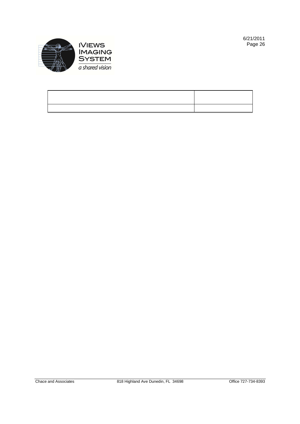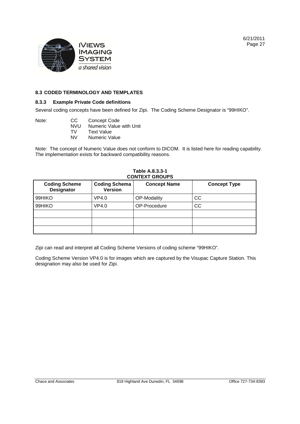

### **8.3 CODED TERMINOLOGY AND TEMPLATES**

#### **8.3.3 Example Private Code definitions**

Several coding concepts have been defined for Zipi. The Coding Scheme Designator is "99HIKO".

| Note: | CС | Concept Code |  |
|-------|----|--------------|--|
|-------|----|--------------|--|

NVU Numeric Value with Unit

TV Text Value<br>NV Numeric Va

Numeric Value

Note: The concept of Numeric Value does not conform to DICOM. It is listed here for reading capability. The implementation exists for backward compatibility reasons.

| <b>CONTEXT GROUPS</b>                     |                                        |                     |                     |  |
|-------------------------------------------|----------------------------------------|---------------------|---------------------|--|
| <b>Coding Scheme</b><br><b>Designator</b> | <b>Coding Schema</b><br><b>Version</b> | <b>Concept Name</b> | <b>Concept Type</b> |  |
| 99HIKO                                    | <b>VP4.0</b>                           | OP-Modality         | CC                  |  |
| 99HIKO                                    | VP4.0                                  | OP-Procedure        | CC                  |  |
|                                           |                                        |                     |                     |  |
|                                           |                                        |                     |                     |  |
|                                           |                                        |                     |                     |  |

# **Table A.8.3.3-1**

Zipi can read and interpret all Coding Scheme Versions of coding scheme "99HIKO".

Coding Scheme Version VP4.0 is for images which are captured by the Visupac Capture Station. This designation may also be used for Zipi.